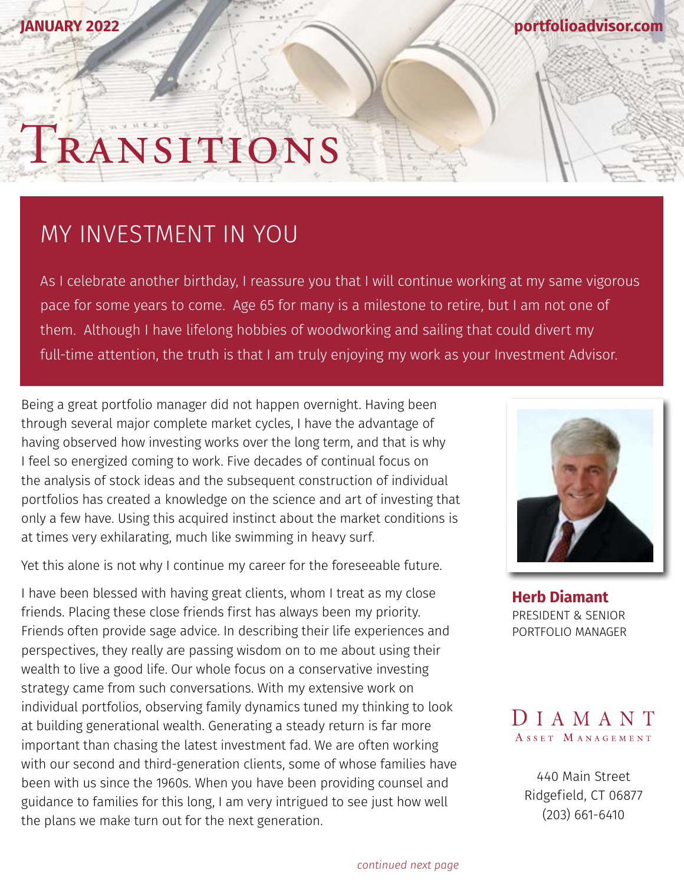**[portfolioadvisor.com](http://portfolioadvisor.com)**

## TRANSITIONS

## MY INVESTMENT IN YOU

As I celebrate another birthday, I reassure you that I will continue working at my same vigorous pace for some years to come. Age 65 for many is a milestone to retire, but I am not one of them. Although I have lifelong hobbies of woodworking and sailing that could divert my full-time attention, the truth is that I am truly enjoying my work as your Investment Advisor.

Being a great portfolio manager did not happen overnight. Having been through several major complete market cycles, I have the advantage of having observed how investing works over the long term, and that is why I feel so energized coming to work. Five decades of continual focus on the analysis of stock ideas and the subsequent construction of individual portfolios has created a knowledge on the science and art of investing that only a few have. Using this acquired instinct about the market conditions is at times very exhilarating, much like swimming in heavy surf.

Yet this alone is not why I continue my career for the foreseeable future.

I have been blessed with having great clients, whom I treat as my close friends. Placing these close friends first has always been my priority. Friends often provide sage advice. In describing their life experiences and perspectives, they really are passing wisdom on to me about using their wealth to live a good life. Our whole focus on a conservative investing strategy came from such conversations. With my extensive work on individual portfolios, observing family dynamics tuned my thinking to look at building generational wealth. Generating a steady return is far more important than chasing the latest investment fad. We are often working with our second and third-generation clients, some of whose families have been with us since the 1960s. When you have been providing counsel and guidance to families for this long, I am very intrigued to see just how well the plans we make turn out for the next generation.



**[Herb Diamant](http://portfolioadvisor.com/team)** PRESIDENT & SENIOR PORTFOLIO MANAGER



[440 Main Street](http://www.portfolioadvisor.com) Ridgefield, CT 06877 (203) 661-6410